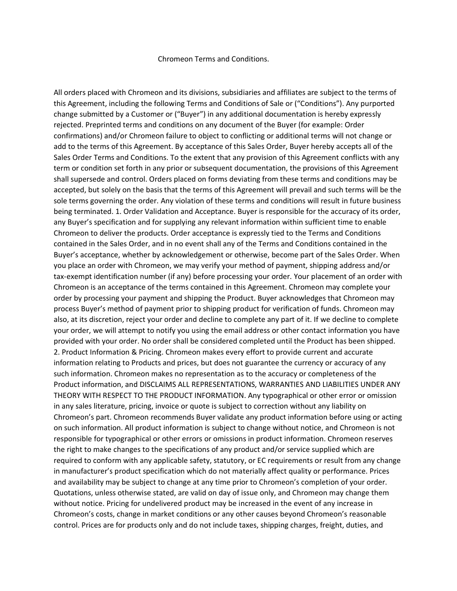## Chromeon Terms and Conditions.

All orders placed with Chromeon and its divisions, subsidiaries and affiliates are subject to the terms of this Agreement, including the following Terms and Conditions of Sale or ("Conditions"). Any purported change submitted by a Customer or ("Buyer") in any additional documentation is hereby expressly rejected. Preprinted terms and conditions on any document of the Buyer (for example: Order confirmations) and/or Chromeon failure to object to conflicting or additional terms will not change or add to the terms of this Agreement. By acceptance of this Sales Order, Buyer hereby accepts all of the Sales Order Terms and Conditions. To the extent that any provision of this Agreement conflicts with any term or condition set forth in any prior or subsequent documentation, the provisions of this Agreement shall supersede and control. Orders placed on forms deviating from these terms and conditions may be accepted, but solely on the basis that the terms of this Agreement will prevail and such terms will be the sole terms governing the order. Any violation of these terms and conditions will result in future business being terminated. 1. Order Validation and Acceptance. Buyer is responsible for the accuracy of its order, any Buyer's specification and for supplying any relevant information within sufficient time to enable Chromeon to deliver the products. Order acceptance is expressly tied to the Terms and Conditions contained in the Sales Order, and in no event shall any of the Terms and Conditions contained in the Buyer's acceptance, whether by acknowledgement or otherwise, become part of the Sales Order. When you place an order with Chromeon, we may verify your method of payment, shipping address and/or tax-exempt identification number (if any) before processing your order. Your placement of an order with Chromeon is an acceptance of the terms contained in this Agreement. Chromeon may complete your order by processing your payment and shipping the Product. Buyer acknowledges that Chromeon may process Buyer's method of payment prior to shipping product for verification of funds. Chromeon may also, at its discretion, reject your order and decline to complete any part of it. If we decline to complete your order, we will attempt to notify you using the email address or other contact information you have provided with your order. No order shall be considered completed until the Product has been shipped. 2. Product Information & Pricing. Chromeon makes every effort to provide current and accurate information relating to Products and prices, but does not guarantee the currency or accuracy of any such information. Chromeon makes no representation as to the accuracy or completeness of the Product information, and DISCLAIMS ALL REPRESENTATIONS, WARRANTIES AND LIABILITIES UNDER ANY THEORY WITH RESPECT TO THE PRODUCT INFORMATION. Any typographical or other error or omission in any sales literature, pricing, invoice or quote is subject to correction without any liability on Chromeon's part. Chromeon recommends Buyer validate any product information before using or acting on such information. All product information is subject to change without notice, and Chromeon is not responsible for typographical or other errors or omissions in product information. Chromeon reserves the right to make changes to the specifications of any product and/or service supplied which are required to conform with any applicable safety, statutory, or EC requirements or result from any change in manufacturer's product specification which do not materially affect quality or performance. Prices and availability may be subject to change at any time prior to Chromeon's completion of your order. Quotations, unless otherwise stated, are valid on day of issue only, and Chromeon may change them without notice. Pricing for undelivered product may be increased in the event of any increase in Chromeon's costs, change in market conditions or any other causes beyond Chromeon's reasonable control. Prices are for products only and do not include taxes, shipping charges, freight, duties, and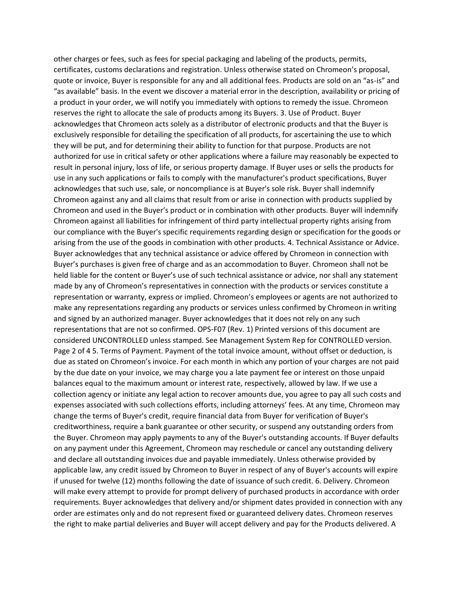other charges or fees, such as fees for special packaging and labeling of the products, permits, certificates, customs declarations and registration. Unless otherwise stated on Chromeon's proposal, quote or invoice, Buyer is responsible for any and all additional fees. Products are sold on an "as-is" and "as available" basis. In the event we discover a material error in the description, availability or pricing of a product in your order, we will notify you immediately with options to remedy the issue. Chromeon reserves the right to allocate the sale of products among its Buyers. 3. Use of Product. Buyer acknowledges that Chromeon acts solely as a distributor of electronic products and that the Buyer is exclusively responsible for detailing the specification of all products, for ascertaining the use to which they will be put, and for determining their ability to function for that purpose. Products are not authorized for use in critical safety or other applications where a failure may reasonably be expected to result in personal injury, loss of life, or serious property damage. If Buyer uses or sells the products for use in any such applications or fails to comply with the manufacturer's product specifications, Buyer acknowledges that such use, sale, or noncompliance is at Buyer's sole risk. Buyer shall indemnify Chromeon against any and all claims that result from or arise in connection with products supplied by Chromeon and used in the Buyer's product or in combination with other products. Buyer will indemnify Chromeon against all liabilities for infringement of third party intellectual property rights arising from our compliance with the Buyer's specific requirements regarding design or specification for the goods or arising from the use of the goods in combination with other products. 4. Technical Assistance or Advice. Buyer acknowledges that any technical assistance or advice offered by Chromeon in connection with Buyer's purchases is given free of charge and as an accommodation to Buyer. Chromeon shall not be held liable for the content or Buyer's use of such technical assistance or advice, nor shall any statement made by any of Chromeon's representatives in connection with the products or services constitute a representation or warranty, express or implied. Chromeon's employees or agents are not authorized to make any representations regarding any products or services unless confirmed by Chromeon in writing and signed by an authorized manager. Buyer acknowledges that it does not rely on any such representations that are not so confirmed. OPS-F07 (Rev. 1) Printed versions of this document are considered UNCONTROLLED unless stamped. See Management System Rep for CONTROLLED version. Page 2 of 4 5. Terms of Payment. Payment of the total invoice amount, without offset or deduction, is due as stated on Chromeon's invoice. For each month in which any portion of your charges are not paid by the due date on your invoice, we may charge you a late payment fee or interest on those unpaid balances equal to the maximum amount or interest rate, respectively, allowed by law. If we use a collection agency or initiate any legal action to recover amounts due, you agree to pay all such costs and expenses associated with such collections efforts, including attorneys' fees. At any time, Chromeon may change the terms of Buyer's credit, require financial data from Buyer for verification of Buyer's creditworthiness, require a bank guarantee or other security, or suspend any outstanding orders from the Buyer. Chromeon may apply payments to any of the Buyer's outstanding accounts. If Buyer defaults on any payment under this Agreement, Chromeon may reschedule or cancel any outstanding delivery and declare all outstanding invoices due and payable immediately. Unless otherwise provided by applicable law, any credit issued by Chromeon to Buyer in respect of any of Buyer's accounts will expire if unused for twelve (12) months following the date of issuance of such credit. 6. Delivery. Chromeon will make every attempt to provide for prompt delivery of purchased products in accordance with order requirements. Buyer acknowledges that delivery and/or shipment dates provided in connection with any order are estimates only and do not represent fixed or guaranteed delivery dates. Chromeon reserves the right to make partial deliveries and Buyer will accept delivery and pay for the Products delivered. A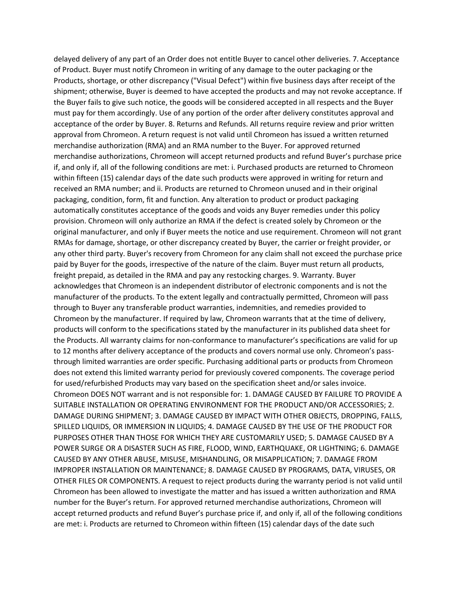delayed delivery of any part of an Order does not entitle Buyer to cancel other deliveries. 7. Acceptance of Product. Buyer must notify Chromeon in writing of any damage to the outer packaging or the Products, shortage, or other discrepancy ("Visual Defect") within five business days after receipt of the shipment; otherwise, Buyer is deemed to have accepted the products and may not revoke acceptance. If the Buyer fails to give such notice, the goods will be considered accepted in all respects and the Buyer must pay for them accordingly. Use of any portion of the order after delivery constitutes approval and acceptance of the order by Buyer. 8. Returns and Refunds. All returns require review and prior written approval from Chromeon. A return request is not valid until Chromeon has issued a written returned merchandise authorization (RMA) and an RMA number to the Buyer. For approved returned merchandise authorizations, Chromeon will accept returned products and refund Buyer's purchase price if, and only if, all of the following conditions are met: i. Purchased products are returned to Chromeon within fifteen (15) calendar days of the date such products were approved in writing for return and received an RMA number; and ii. Products are returned to Chromeon unused and in their original packaging, condition, form, fit and function. Any alteration to product or product packaging automatically constitutes acceptance of the goods and voids any Buyer remedies under this policy provision. Chromeon will only authorize an RMA if the defect is created solely by Chromeon or the original manufacturer, and only if Buyer meets the notice and use requirement. Chromeon will not grant RMAs for damage, shortage, or other discrepancy created by Buyer, the carrier or freight provider, or any other third party. Buyer's recovery from Chromeon for any claim shall not exceed the purchase price paid by Buyer for the goods, irrespective of the nature of the claim. Buyer must return all products, freight prepaid, as detailed in the RMA and pay any restocking charges. 9. Warranty. Buyer acknowledges that Chromeon is an independent distributor of electronic components and is not the manufacturer of the products. To the extent legally and contractually permitted, Chromeon will pass through to Buyer any transferable product warranties, indemnities, and remedies provided to Chromeon by the manufacturer. If required by law, Chromeon warrants that at the time of delivery, products will conform to the specifications stated by the manufacturer in its published data sheet for the Products. All warranty claims for non-conformance to manufacturer's specifications are valid for up to 12 months after delivery acceptance of the products and covers normal use only. Chromeon's passthrough limited warranties are order specific. Purchasing additional parts or products from Chromeon does not extend this limited warranty period for previously covered components. The coverage period for used/refurbished Products may vary based on the specification sheet and/or sales invoice. Chromeon DOES NOT warrant and is not responsible for: 1. DAMAGE CAUSED BY FAILURE TO PROVIDE A SUITABLE INSTALLATION OR OPERATING ENVIRONMENT FOR THE PRODUCT AND/OR ACCESSORIES; 2. DAMAGE DURING SHIPMENT; 3. DAMAGE CAUSED BY IMPACT WITH OTHER OBJECTS, DROPPING, FALLS, SPILLED LIQUIDS, OR IMMERSION IN LIQUIDS; 4. DAMAGE CAUSED BY THE USE OF THE PRODUCT FOR PURPOSES OTHER THAN THOSE FOR WHICH THEY ARE CUSTOMARILY USED; 5. DAMAGE CAUSED BY A POWER SURGE OR A DISASTER SUCH AS FIRE, FLOOD, WIND, EARTHQUAKE, OR LIGHTNING; 6. DAMAGE CAUSED BY ANY OTHER ABUSE, MISUSE, MISHANDLING, OR MISAPPLICATION; 7. DAMAGE FROM IMPROPER INSTALLATION OR MAINTENANCE; 8. DAMAGE CAUSED BY PROGRAMS, DATA, VIRUSES, OR OTHER FILES OR COMPONENTS. A request to reject products during the warranty period is not valid until Chromeon has been allowed to investigate the matter and has issued a written authorization and RMA number for the Buyer's return. For approved returned merchandise authorizations, Chromeon will accept returned products and refund Buyer's purchase price if, and only if, all of the following conditions are met: i. Products are returned to Chromeon within fifteen (15) calendar days of the date such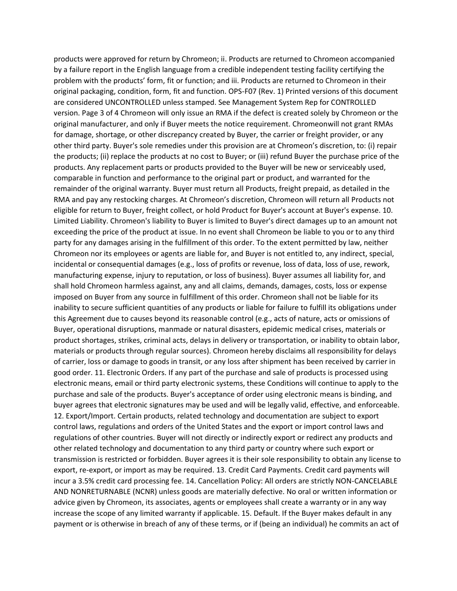products were approved for return by Chromeon; ii. Products are returned to Chromeon accompanied by a failure report in the English language from a credible independent testing facility certifying the problem with the products' form, fit or function; and iii. Products are returned to Chromeon in their original packaging, condition, form, fit and function. OPS-F07 (Rev. 1) Printed versions of this document are considered UNCONTROLLED unless stamped. See Management System Rep for CONTROLLED version. Page 3 of 4 Chromeon will only issue an RMA if the defect is created solely by Chromeon or the original manufacturer, and only if Buyer meets the notice requirement. Chromeonwill not grant RMAs for damage, shortage, or other discrepancy created by Buyer, the carrier or freight provider, or any other third party. Buyer's sole remedies under this provision are at Chromeon's discretion, to: (i) repair the products; (ii) replace the products at no cost to Buyer; or (iii) refund Buyer the purchase price of the products. Any replacement parts or products provided to the Buyer will be new or serviceably used, comparable in function and performance to the original part or product, and warranted for the remainder of the original warranty. Buyer must return all Products, freight prepaid, as detailed in the RMA and pay any restocking charges. At Chromeon's discretion, Chromeon will return all Products not eligible for return to Buyer, freight collect, or hold Product for Buyer's account at Buyer's expense. 10. Limited Liability. Chromeon's liability to Buyer is limited to Buyer's direct damages up to an amount not exceeding the price of the product at issue. In no event shall Chromeon be liable to you or to any third party for any damages arising in the fulfillment of this order. To the extent permitted by law, neither Chromeon nor its employees or agents are liable for, and Buyer is not entitled to, any indirect, special, incidental or consequential damages (e.g., loss of profits or revenue, loss of data, loss of use, rework, manufacturing expense, injury to reputation, or loss of business). Buyer assumes all liability for, and shall hold Chromeon harmless against, any and all claims, demands, damages, costs, loss or expense imposed on Buyer from any source in fulfillment of this order. Chromeon shall not be liable for its inability to secure sufficient quantities of any products or liable for failure to fulfill its obligations under this Agreement due to causes beyond its reasonable control (e.g., acts of nature, acts or omissions of Buyer, operational disruptions, manmade or natural disasters, epidemic medical crises, materials or product shortages, strikes, criminal acts, delays in delivery or transportation, or inability to obtain labor, materials or products through regular sources). Chromeon hereby disclaims all responsibility for delays of carrier, loss or damage to goods in transit, or any loss after shipment has been received by carrier in good order. 11. Electronic Orders. If any part of the purchase and sale of products is processed using electronic means, email or third party electronic systems, these Conditions will continue to apply to the purchase and sale of the products. Buyer's acceptance of order using electronic means is binding, and buyer agrees that electronic signatures may be used and will be legally valid, effective, and enforceable. 12. Export/Import. Certain products, related technology and documentation are subject to export control laws, regulations and orders of the United States and the export or import control laws and regulations of other countries. Buyer will not directly or indirectly export or redirect any products and other related technology and documentation to any third party or country where such export or transmission is restricted or forbidden. Buyer agrees it is their sole responsibility to obtain any license to export, re-export, or import as may be required. 13. Credit Card Payments. Credit card payments will incur a 3.5% credit card processing fee. 14. Cancellation Policy: All orders are strictly NON-CANCELABLE AND NONRETURNABLE (NCNR) unless goods are materially defective. No oral or written information or advice given by Chromeon, its associates, agents or employees shall create a warranty or in any way increase the scope of any limited warranty if applicable. 15. Default. If the Buyer makes default in any payment or is otherwise in breach of any of these terms, or if (being an individual) he commits an act of